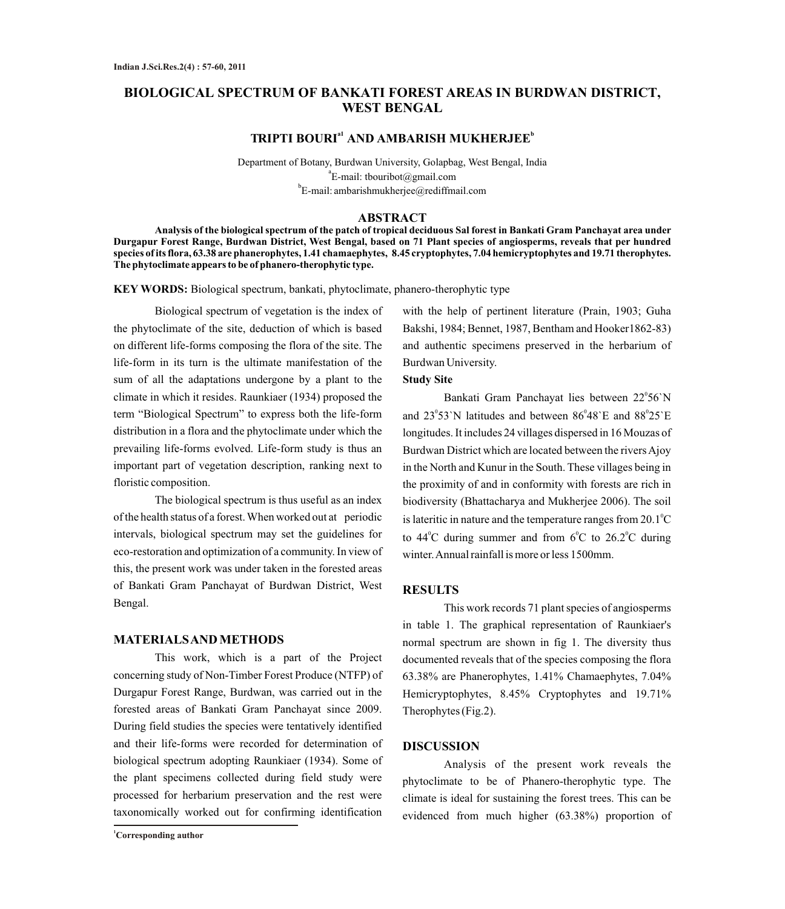# **BIOLOGICAL SPECTRUM OF BANKATI FOREST AREAS IN BURDWAN DISTRICT, WEST BENGAL**

## $TRIPTI$  **BOURI<sup>a1</sup> AND AMBARISH MUKHERJEE<sup>b</sup>**

Department of Botany, Burdwan University, Golapbag, West Bengal, India  $\mathrm{^{a}E}$ -mail: tbouribot@gmail.com b E-mail: ambarishmukherjee@rediffmail.com

#### **ABSTRACT**

**Analysis of the biological spectrum of the patch of tropical deciduous Sal forest in Bankati Gram Panchayat area under Durgapur Forest Range, Burdwan District, West Bengal, based on 71 Plant species of angiosperms, reveals that per hundred species of its flora, 63.38 are phanerophytes, 1.41 chamaephytes, 8.45 cryptophytes, 7.04 hemicryptophytes and 19.71 therophytes. The phytoclimate appears to be of phanero-therophytic type.**

**KEY WORDS:** Biological spectrum, bankati, phytoclimate, phanero-therophytic type

Biological spectrum of vegetation is the index of the phytoclimate of the site, deduction of which is based on different life-forms composing the flora of the site. The life-form in its turn is the ultimate manifestation of the sum of all the adaptations undergone by a plant to the climate in which it resides. Raunkiaer (1934) proposed the term "Biological Spectrum" to express both the life-form distribution in a flora and the phytoclimate under which the prevailing life-forms evolved. Life-form study is thus an important part of vegetation description, ranking next to floristic composition.

The biological spectrum is thus useful as an index of the health status of a forest. When worked out at periodic intervals, biological spectrum may set the guidelines for eco-restoration and optimization of a community. In view of this, the present work was under taken in the forested areas of Bankati Gram Panchayat of Burdwan District, West Bengal.

#### **MATERIALS AND METHODS**

This work, which is a part of the Project concerning study of Non-Timber Forest Produce (NTFP) of Durgapur Forest Range, Burdwan, was carried out in the forested areas of Bankati Gram Panchayat since 2009. During field studies the species were tentatively identified and their life-forms were recorded for determination of biological spectrum adopting Raunkiaer (1934). Some of the plant specimens collected during field study were processed for herbarium preservation and the rest were taxonomically worked out for confirming identification

with the help of pertinent literature (Prain, 1903; Guha Bakshi, 1984; Bennet, 1987, Bentham and Hooker1862-83) and authentic specimens preserved in the herbarium of Burdwan University.

#### **Study Site**

Bankati Gram Panchayat lies between 22°56`N and  $23^{\circ}53$ `N latitudes and between  $86^{\circ}48$ `E and  $88^{\circ}25$ `E longitudes. It includes 24 villages dispersed in 16 Mouzas of Burdwan District which are located between the rivers Ajoy in the North and Kunur in the South. These villages being in the proximity of and in conformity with forests are rich in biodiversity (Bhattacharya and Mukherjee 2006). The soil is lateritic in nature and the temperature ranges from  $20.1^{\circ}$ C to  $44^{\circ}$ C during summer and from  $6^{\circ}$ C to  $26.2^{\circ}$ C during winter. Annual rainfall is more or less 1500mm.

## **RESULTS**

This work records 71 plant species of angiosperms in table 1. The graphical representation of Raunkiaer's normal spectrum are shown in fig 1. The diversity thus documented reveals that of the species composing the flora 63.38% are Phanerophytes, 1.41% Chamaephytes, 7.04% Hemicryptophytes, 8.45% Cryptophytes and 19.71% Therophytes (Fig.2).

## **DISCUSSION**

Analysis of the present work reveals the phytoclimate to be of Phanero-therophytic type. The climate is ideal for sustaining the forest trees. This can be evidenced from much higher (63.38%) proportion of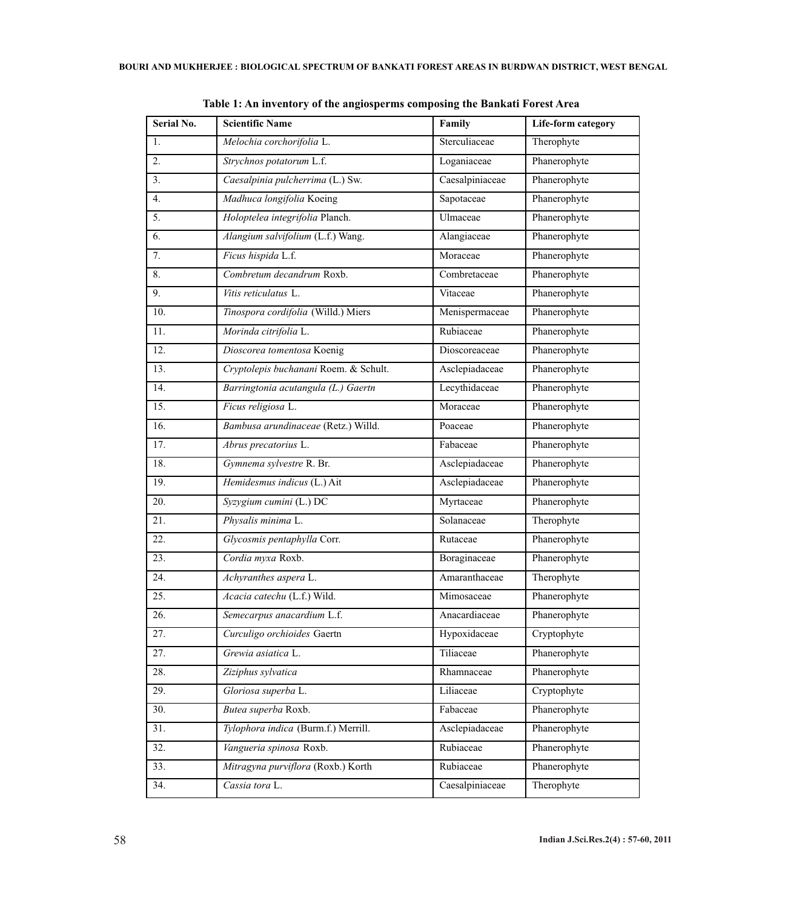| Serial No. | <b>Scientific Name</b>                | Family          | Life-form category |
|------------|---------------------------------------|-----------------|--------------------|
| 1.         | Melochia corchorifolia L.             | Sterculiaceae   | Therophyte         |
| 2.         | Strychnos potatorum L.f.              | Loganiaceae     | Phanerophyte       |
| 3.         | Caesalpinia pulcherrima (L.) Sw.      | Caesalpiniaceae | Phanerophyte       |
| 4.         | Madhuca longifolia Koeing             | Sapotaceae      | Phanerophyte       |
| 5.         | Holoptelea integrifolia Planch.       | Ulmaceae        | Phanerophyte       |
| 6.         | Alangium salvifolium (L.f.) Wang.     | Alangiaceae     | Phanerophyte       |
| 7.         | Ficus hispida L.f.                    | Moraceae        | Phanerophyte       |
| 8.         | Combretum decandrum Roxb.             | Combretaceae    | Phanerophyte       |
| 9.         | Vitis reticulatus L.                  | Vitaceae        | Phanerophyte       |
| 10.        | Tinospora cordifolia (Willd.) Miers   | Menispermaceae  | Phanerophyte       |
| 11.        | Morinda citrifolia L.                 | Rubiaceae       | Phanerophyte       |
| 12.        | Dioscorea tomentosa Koenig            | Dioscoreaceae   | Phanerophyte       |
| 13.        | Cryptolepis buchanani Roem. & Schult. | Asclepiadaceae  | Phanerophyte       |
| 14.        | Barringtonia acutangula (L.) Gaertn   | Lecythidaceae   | Phanerophyte       |
| 15.        | Ficus religiosa L.                    | Moraceae        | Phanerophyte       |
| 16.        | Bambusa arundinaceae (Retz.) Willd.   | Poaceae         | Phanerophyte       |
| 17.        | Abrus precatorius L.                  | Fabaceae        | Phanerophyte       |
| 18.        | Gymnema sylvestre R. Br.              | Asclepiadaceae  | Phanerophyte       |
| 19.        | Hemidesmus indicus (L.) Ait           | Asclepiadaceae  | Phanerophyte       |
| 20.        | Syzygium cumini (L.) DC               | Myrtaceae       | Phanerophyte       |
| 21.        | Physalis minima L.                    | Solanaceae      | Therophyte         |
| 22.        | Glycosmis pentaphylla Corr.           | Rutaceae        | Phanerophyte       |
| 23.        | Cordia myxa Roxb.                     | Boraginaceae    | Phanerophyte       |
| 24.        | Achyranthes aspera L.                 | Amaranthaceae   | Therophyte         |
| 25.        | Acacia catechu (L.f.) Wild.           | Mimosaceae      | Phanerophyte       |
| 26.        | Semecarpus anacardium L.f.            | Anacardiaceae   | Phanerophyte       |
| 27.        | Curculigo orchioides Gaertn           | Hypoxidaceae    | Cryptophyte        |
| 27.        | Grewia asiatica L.                    | Tiliaceae       | Phanerophyte       |
| 28.        | Ziziphus sylvatica                    | Rhamnaceae      | Phanerophyte       |
| 29.        | Gloriosa superba L.                   | Liliaceae       | Cryptophyte        |
| 30.        | Butea superba Roxb.                   | Fabaceae        | Phanerophyte       |
| 31.        | Tylophora indica (Burm.f.) Merrill.   | Asclepiadaceae  | Phanerophyte       |
| 32.        | Vangueria spinosa Roxb.               | Rubiaceae       | Phanerophyte       |
| 33.        | Mitragyna purviflora (Roxb.) Korth    | Rubiaceae       | Phanerophyte       |
| 34.        | Cassia tora L.                        | Caesalpiniaceae | Therophyte         |
|            |                                       |                 |                    |

**Table 1: An inventory of the angiosperms composing the Bankati Forest Area**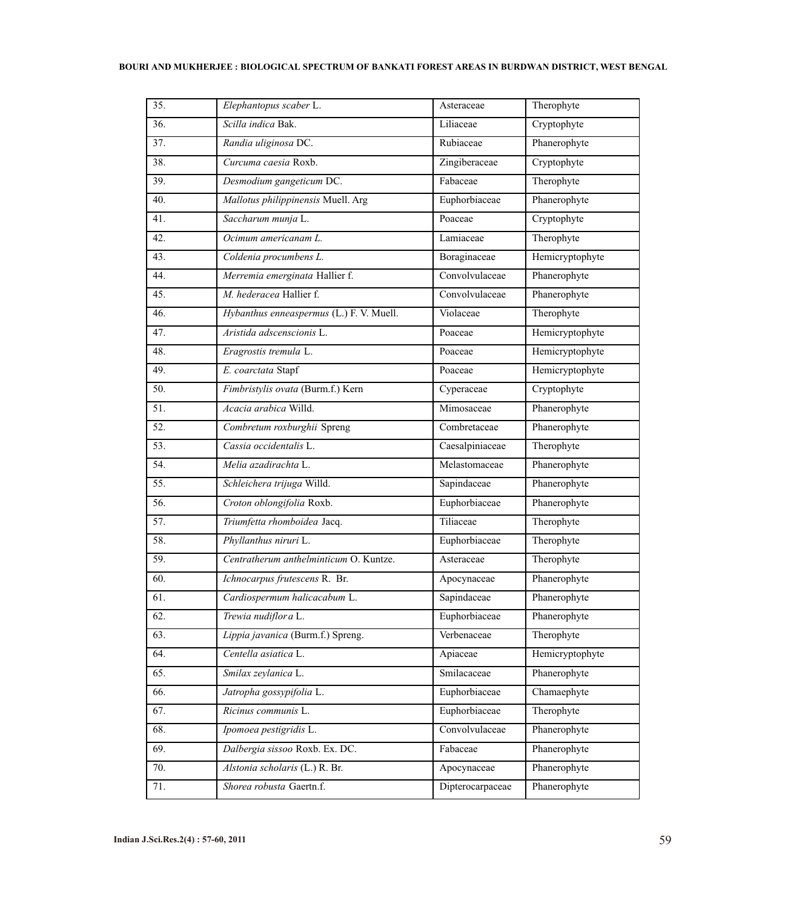## **BOURI AND MUKHERJEE : BIOLOGICAL SPECTRUM OF BANKATI FOREST AREAS IN BURDWAN DISTRICT, WEST BENGAL**

| 35. | Elephantopus scaber L.                   | Asteraceae       | Therophyte                       |
|-----|------------------------------------------|------------------|----------------------------------|
| 36. | Scilla indica Bak.                       | Liliaceae        | Cryptophyte                      |
| 37. | Randia uliginosa DC.                     | Rubiaceae        | Phanerophyte                     |
| 38. | Curcuma caesia Roxb.                     | Zingiberaceae    | Cryptophyte                      |
| 39. | Desmodium gangeticum DC.                 | Fabaceae         | Therophyte                       |
| 40. | Mallotus philippinensis Muell. Arg       | Euphorbiaceae    | Phanerophyte                     |
| 41. | Saccharum munja L.                       | Poaceae          | Cryptophyte                      |
| 42. | Ocimum americanam L.                     | Lamiaceae        | Therophyte                       |
| 43. | Coldenia procumbens L.                   | Boraginaceae     | Hemicryptophyte                  |
| 44. | Merremia emerginata Hallier f.           | Convolvulaceae   | Phanerophyte                     |
| 45. | M. hederacea Hallier f.                  | Convolvulaceae   | Phanerophyte                     |
| 46. | Hybanthus enneaspermus (L.) F. V. Muell. | Violaceae        | Therophyte                       |
| 47. | Aristida adscenscionis L.                | Poaceae          | Hemicryptophyte                  |
| 48. | Eragrostis tremula L.                    | Poaceae          | Hemicryptophyte                  |
| 49. | E. coarctata Stapf                       | Poaceae          | Hemicryptophyte                  |
| 50. | Fimbristylis ovata (Burm.f.) Kern        | Cyperaceae       | $\overline{\text{C}}$ ryptophyte |
| 51. | Acacia arabica Willd.                    | Mimosaceae       | Phanerophyte                     |
| 52. | Combretum roxburghii Spreng              | Combretaceae     | Phanerophyte                     |
| 53. | Cassia occidentalis L.                   | Caesalpiniaceae  | Therophyte                       |
| 54. | Melia azadirachta L.                     | Melastomaceae    | Phanerophyte                     |
| 55. | Schleichera trijuga Willd.               | Sapindaceae      | Phanerophyte                     |
| 56. | Croton oblongifolia Roxb.                | Euphorbiaceae    | Phanerophyte                     |
| 57. | Triumfetta rhomboidea Jacq.              | Tiliaceae        | Therophyte                       |
| 58. | Phyllanthus niruri L.                    | Euphorbiaceae    | Therophyte                       |
| 59. | Centratherum anthelminticum O. Kuntze.   | Asteraceae       | Therophyte                       |
| 60. | Ichnocarpus frutescens R. Br.            | Apocynaceae      | Phanerophyte                     |
| 61. | Cardiospermum halicacabum L.             | Sapindaceae      | Phanerophyte                     |
| 62. | Trewia nudiflor a L.                     | Euphorbiaceae    | Phanerophyte                     |
| 63. | Lippia javanica (Burm.f.) Spreng.        | Verbenaceae      | Therophyte                       |
| 64. | Centella asiatica L.                     | Apiaceae         | Hemicryptophyte                  |
| 65. | Smilax zeylanica L.                      | Smilacaceae      | Phanerophyte                     |
| 66. | Jatropha gossypifolia L.                 | Euphorbiaceae    | Chamaephyte                      |
| 67. | Ricinus communis L.                      | Euphorbiaceae    | Therophyte                       |
| 68. | Ipomoea pestigridis L.                   | Convolvulaceae   | Phanerophyte                     |
| 69. | Dalbergia sissoo Roxb. Ex. DC.           | Fabaceae         | Phanerophyte                     |
| 70. | Alstonia scholaris (L.) R. Br.           | Apocynaceae      | Phanerophyte                     |
| 71. | Shorea robusta Gaertn.f.                 | Dipterocarpaceae | Phanerophyte                     |